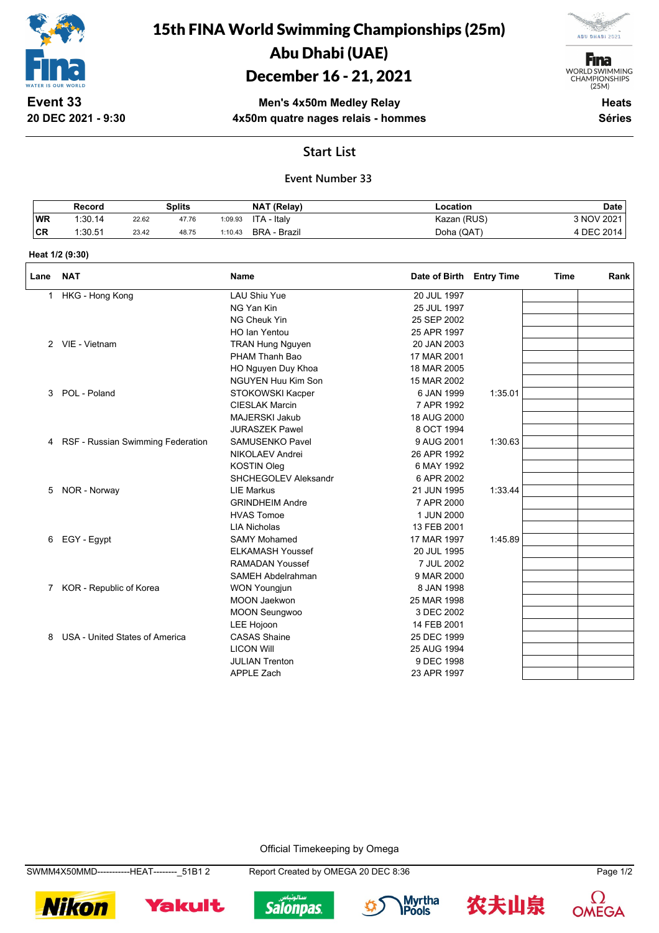

15th FINA World Swimming Championships (25m) Abu Dhabi (UAE)

# December 16 - 21, 2021

**F**ina WORLD SWIMMING<br>CHAMPIONSHIPS<br>(25M)

**ABU DHABI 2021** 

**Event 33 20 DEC 2021 - 9:30**

**Men's 4x50m Medley Relay 4x50m quatre nages relais - hommes**

**Heats Séries**

### **Start List**

## **Event Number 33**

|    | Record  |       | Splits |         | NAT (Relay)  | ∟ocation    | <b>Date</b> |
|----|---------|-------|--------|---------|--------------|-------------|-------------|
| WR | 1:30.14 | 22.62 | 47.76  | 1:09.93 | ITA - Italy  | Kazan (RUS) | 3 NOV 2021  |
| CR | 1:30.51 | 23.42 | 48.75  | 1:10.43 | BRA - Brazil | Doha (QAT)  | 4 DEC 2014  |

#### **Heat 1/2 (9:30)**

| Lane | <b>NAT</b>                        | Name                      | Date of Birth Entry Time |         | <b>Time</b> | Rank |
|------|-----------------------------------|---------------------------|--------------------------|---------|-------------|------|
| 1    | HKG - Hong Kong                   | <b>LAU Shiu Yue</b>       | 20 JUL 1997              |         |             |      |
|      |                                   | NG Yan Kin                | 25 JUL 1997              |         |             |      |
|      |                                   | NG Cheuk Yin              | 25 SEP 2002              |         |             |      |
|      |                                   | HO lan Yentou             | 25 APR 1997              |         |             |      |
|      | 2 VIE - Vietnam                   | <b>TRAN Hung Nguyen</b>   | 20 JAN 2003              |         |             |      |
|      |                                   | PHAM Thanh Bao            | 17 MAR 2001              |         |             |      |
|      |                                   | HO Nguyen Duy Khoa        | 18 MAR 2005              |         |             |      |
|      |                                   | <b>NGUYEN Huu Kim Son</b> | 15 MAR 2002              |         |             |      |
| 3    | POL - Poland                      | STOKOWSKI Kacper          | 6 JAN 1999               | 1:35.01 |             |      |
|      |                                   | <b>CIESLAK Marcin</b>     | 7 APR 1992               |         |             |      |
|      |                                   | <b>MAJERSKI Jakub</b>     | 18 AUG 2000              |         |             |      |
|      |                                   | <b>JURASZEK Pawel</b>     | 8 OCT 1994               |         |             |      |
| 4    | RSF - Russian Swimming Federation | <b>SAMUSENKO Pavel</b>    | 9 AUG 2001               | 1:30.63 |             |      |
|      |                                   | <b>NIKOLAEV Andrei</b>    | 26 APR 1992              |         |             |      |
|      |                                   | <b>KOSTIN Oleg</b>        | 6 MAY 1992               |         |             |      |
|      |                                   | SHCHEGOLEV Aleksandr      | 6 APR 2002               |         |             |      |
| 5    | NOR - Norway                      | <b>LIE Markus</b>         | 21 JUN 1995              | 1:33.44 |             |      |
|      |                                   | <b>GRINDHEIM Andre</b>    | 7 APR 2000               |         |             |      |
|      |                                   | <b>HVAS Tomoe</b>         | 1 JUN 2000               |         |             |      |
|      |                                   | <b>LIA Nicholas</b>       | 13 FEB 2001              |         |             |      |
| 6    | EGY - Egypt                       | <b>SAMY Mohamed</b>       | 17 MAR 1997              | 1:45.89 |             |      |
|      |                                   | <b>ELKAMASH Youssef</b>   | 20 JUL 1995              |         |             |      |
|      |                                   | <b>RAMADAN Youssef</b>    | 7 JUL 2002               |         |             |      |
|      |                                   | SAMEH Abdelrahman         | 9 MAR 2000               |         |             |      |
| 7    | KOR - Republic of Korea           | <b>WON Youngjun</b>       | 8 JAN 1998               |         |             |      |
|      |                                   | <b>MOON Jaekwon</b>       | 25 MAR 1998              |         |             |      |
|      |                                   | <b>MOON Seungwoo</b>      | 3 DEC 2002               |         |             |      |
|      |                                   | <b>LEE Hojoon</b>         | 14 FEB 2001              |         |             |      |
| 8    | USA - United States of America    | <b>CASAS Shaine</b>       | 25 DEC 1999              |         |             |      |
|      |                                   | <b>LICON Will</b>         | 25 AUG 1994              |         |             |      |
|      |                                   | <b>JULIAN Trenton</b>     | 9 DEC 1998               |         |             |      |
|      |                                   | <b>APPLE Zach</b>         | 23 APR 1997              |         |             |      |

Official Timekeeping by Omega

SWMM4X50MMD-----------HEAT--------\_51B1 2 Report Created by OMEGA 20 DEC 8:36 Page 1/2